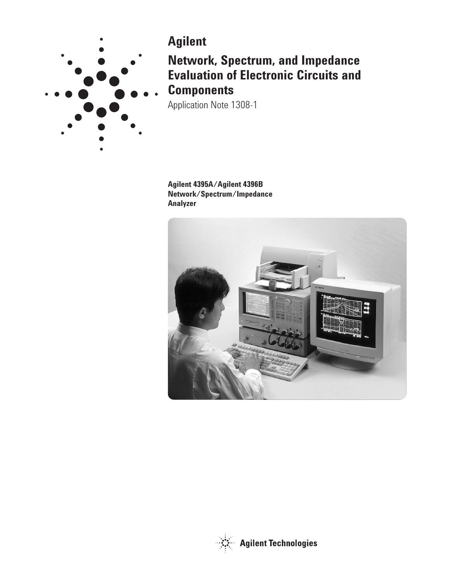

# **Agilent**

**Network, Spectrum, and Impedance Evaluation of Electronic Circuits and Components**

Application Note 1308-1

**Agilent 4395A/Agilent 4396B Network/Spectrum/Impedance Analyzer**



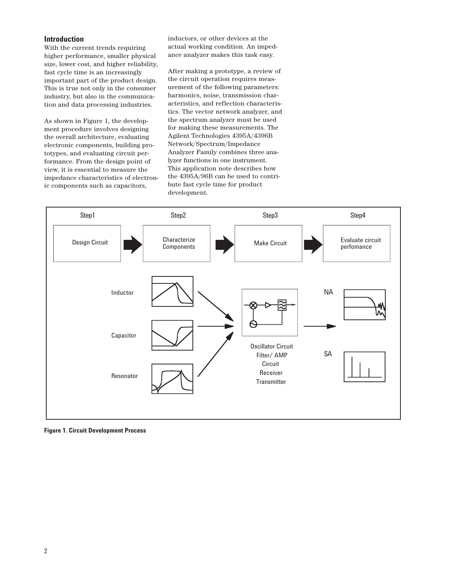# **Introduction**

With the current trends requiring higher performance, smaller physical size, lower cost, and higher reliability, fast cycle time is an increasingly important part of the product design. This is true not only in the consumer industry, but also in the communication and data processing industries.

As shown in Figure 1, the development procedure involves designing the overall architecture, evaluating electronic components, building prototypes, and evaluating circuit performance. From the design point of view, it is essential to measure the impedance characteristics of electronic components such as capacitors,

inductors, or other devices at the actual working condition. An impedance analyzer makes this task easy.

After making a prototype, a review of the circuit operation requires measurement of the following parameters: harmonics, noise, transmission characteristics, and reflection characteristics. The vector network analyzer, and the spectrum analyzer must be used for making these measurements. The Agilent Technologies 4395A/4396B Network/Spectrum/Impedance Analyzer Family combines three analyzer functions in one instrument. This application note describes how the 4395A/96B can be used to contribute fast cycle time for product development.



**Figure 1. Circuit Development Process**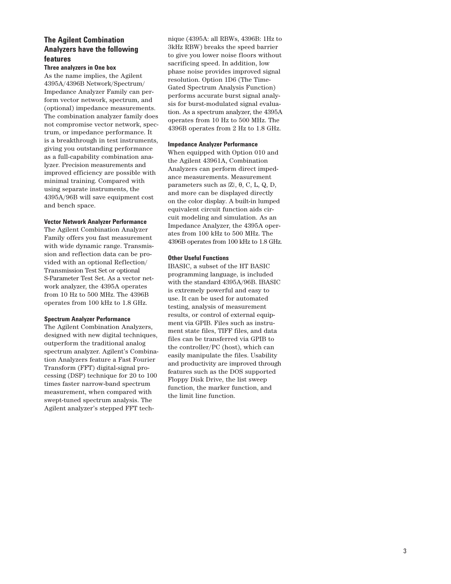# **The Agilent Combination Analyzers have the following features**

## **Three analyzers in One box**

As the name implies, the Agilent 4395A/4396B Network/Spectrum/ Impedance Analyzer Family can perform vector network, spectrum, and (optional) impedance measurements. The combination analyzer family does not compromise vector network, spectrum, or impedance performance. It is a breakthrough in test instruments, giving you outstanding performance as a full-capability combination analyzer. Precision measurements and improved efficiency are possible with minimal training. Compared with using separate instruments, the 4395A/96B will save equipment cost and bench space.

## **Vector Network Analyzer Performance**

The Agilent Combination Analyzer Family offers you fast measurement with wide dynamic range. Transmission and reflection data can be provided with an optional Reflection/ Transmission Test Set or optional S-Parameter Test Set. As a vector network analyzer, the 4395A operates from 10 Hz to 500 MHz. The 4396B operates from 100 kHz to 1.8 GHz.

## **Spectrum Analyzer Performance**

The Agilent Combination Analyzers, designed with new digital techniques, outperform the traditional analog spectrum analyzer. Agilent's Combination Analyzers feature a Fast Fourier Transform (FFT) digital-signal processing (DSP) technique for 20 to 100 times faster narrow-band spectrum measurement, when compared with swept-tuned spectrum analysis. The Agilent analyzer's stepped FFT tech-

nique (4395A: all RBWs, 4396B: 1Hz to 3kHz RBW) breaks the speed barrier to give you lower noise floors without sacrificing speed. In addition, low phase noise provides improved signal resolution. Option 1D6 (The Time-Gated Spectrum Analysis Function) performs accurate burst signal analysis for burst-modulated signal evaluation. As a spectrum analyzer, the 4395A operates from 10 Hz to 500 MHz. The 4396B operates from 2 Hz to 1.8 GHz.

#### **Impedance Analyzer Performance**

When equipped with Option 010 and the Agilent 43961A, Combination Analyzers can perform direct impedance measurements. Measurement parameters such as  $Z|$ , θ, C, L, Q, D, and more can be displayed directly on the color display. A built-in lumped equivalent circuit function aids circuit modeling and simulation. As an Impedance Analyzer, the 4395A operates from 100 kHz to 500 MHz. The 4396B operates from 100 kHz to 1.8 GHz.

#### **Other Useful Functions**

IBASIC, a subset of the HT BASIC programming language, is included with the standard 4395A/96B. IBASIC is extremely powerful and easy to use. It can be used for automated testing, analysis of measurement results, or control of external equipment via GPIB. Files such as instrument state files, TIFF files, and data files can be transferred via GPIB to the controller/PC (host), which can easily manipulate the files. Usability and productivity are improved through features such as the DOS supported Floppy Disk Drive, the list sweep function, the marker function, and the limit line function.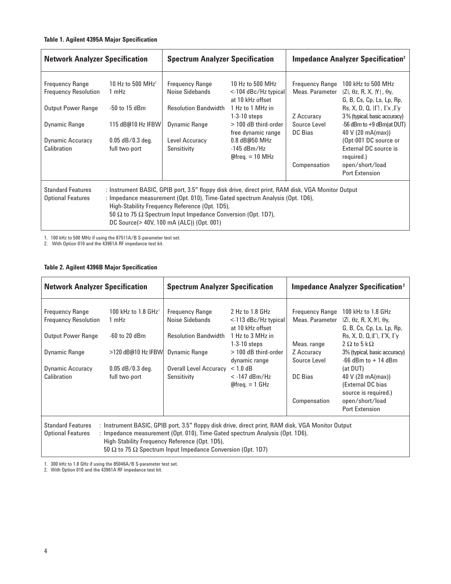# **Table 1. Agilent 4395A Major Specification**

| <b>Network Analyzer Specification</b>                 |                                        | <b>Spectrum Analyzer Specification</b>                                                                                                                                                                                                                                                                                                                         |                                                                   | <b>Impedance Analyzer Specification</b> <sup>2</sup> |                                                                                                                              |
|-------------------------------------------------------|----------------------------------------|----------------------------------------------------------------------------------------------------------------------------------------------------------------------------------------------------------------------------------------------------------------------------------------------------------------------------------------------------------------|-------------------------------------------------------------------|------------------------------------------------------|------------------------------------------------------------------------------------------------------------------------------|
| <b>Frequency Range</b><br><b>Frequency Resolution</b> | 10 Hz to 500 MHz <sup>1</sup><br>1 mHz | <b>Frequency Range</b><br>Noise Sidebands                                                                                                                                                                                                                                                                                                                      | 10 Hz to 500 MHz<br>$\le$ -104 dBc/Hz typical<br>at 10 kHz offset | <b>Frequency Range</b><br>Meas. Parameter            | 100 kHz to 500 MHz<br>$ Z $ , $\theta$ z, R, X, M, $\theta$ y,<br>G, B, Cs, Cp, Ls, Lp, Rp,                                  |
| <b>Output Power Range</b>                             | $-50$ to 15 dBm                        | <b>Resolution Bandwidth</b>                                                                                                                                                                                                                                                                                                                                    | 1 Hz to 1 MHz in<br>$1-3-10$ steps                                | Z Accuracy                                           | $\mathsf{Rs}, \mathsf{X}, \mathsf{D}, \mathsf{Q}, \mathsf{I}\Gamma$ , $\Gamma$ x, $\Gamma$ y<br>3% (typical, basic accuracy) |
| Dynamic Range                                         | 115 dB@10 Hz IFBW                      | Dynamic Range                                                                                                                                                                                                                                                                                                                                                  | > 100 dB third-order<br>free dynamic range                        | Source Level<br>DC Bias                              | -56 dBm to +9 dBm(at DUT)<br>40 V (20 mA(max))                                                                               |
| <b>Dynamic Accuracy</b><br>Calibration                | $0.05$ dB/0.3 deg.<br>full two-port    | Level Accuracy<br>Sensitivity                                                                                                                                                                                                                                                                                                                                  | 0.8 dB@50 MHz<br>$-145$ dBm/Hz<br>$@freq. = 10 MHz$               |                                                      | (Opt-001 DC source or<br>External DC source is<br>required.)                                                                 |
|                                                       |                                        |                                                                                                                                                                                                                                                                                                                                                                |                                                                   | Compensation                                         | open/short/load<br><b>Port Extension</b>                                                                                     |
| <b>Standard Features</b><br><b>Optional Features</b>  |                                        | : Instrument BASIC, GPIB port, 3.5" floppy disk drive, direct print, RAM disk, VGA Monitor Output<br>: Impedance measurement (Opt. 010), Time-Gated spectrum Analysis (Opt. 1D6),<br>High-Stability Frequency Reference (Opt. 1D5),<br>50 $\Omega$ to 75 $\Omega$ Spectrum Input Impedance Conversion (Opt. 1D7),<br>DC Source(> 40V, 100 mA (ALC)) (Opt. 001) |                                                                   |                                                      |                                                                                                                              |

1. 100 kHz to 500 MHz if using the 87511A/B S-parameter test set.

2. With Option 010 and the 43961A RF impedance test kit.

# **Table 2. Agilent 4396B Major Specification**

| <b>Network Analyzer Specification</b>                                                                                                                                                                                                                                                                                |                                     | <b>Spectrum Analyzer Specification</b>    |                                                                | <b>Impedance Analyzer Specification</b> <sup>2</sup> |                                                                                                                                          |  |  |
|----------------------------------------------------------------------------------------------------------------------------------------------------------------------------------------------------------------------------------------------------------------------------------------------------------------------|-------------------------------------|-------------------------------------------|----------------------------------------------------------------|------------------------------------------------------|------------------------------------------------------------------------------------------------------------------------------------------|--|--|
| <b>Frequency Range</b><br><b>Frequency Resolution</b>                                                                                                                                                                                                                                                                | 100 kHz to 1.8 $GHz1$<br>1 mHz      | <b>Frequency Range</b><br>Noise Sidebands | 2 Hz to 1.8 GHz<br>$<$ -113 dBc/Hz typical<br>at 10 kHz offset | <b>Frequency Range</b><br>Meas. Parameter            | 100 kHz to 1.8 GHz<br>$ Z $ , $\theta$ z, R, X, N, $\theta$ y,<br>G, B, Cs, Cp, Ls, Lp, Rp,                                              |  |  |
| <b>Output Power Range</b>                                                                                                                                                                                                                                                                                            | $-60$ to 20 dBm                     | <b>Resolution Bandwidth</b>               | 1 Hz to 3 MHz in<br>$1-3-10$ steps                             | Meas. range                                          | $\mathsf{Rs}, \mathsf{X}, \mathsf{D}, \mathsf{Q}, \mathsf{I}\Gamma$ , $\Gamma\mathsf{X}, \Gamma\mathsf{Y}$<br>$2 \Omega$ to 5 k $\Omega$ |  |  |
| <b>Dynamic Range</b>                                                                                                                                                                                                                                                                                                 | >120 dB@10 Hz IFBW                  | <b>Dynamic Range</b>                      | $>$ 100 dB third-order<br>dynamic range                        | Z Accuracy<br>Source Level                           | 3% (typical, basic accuracy)<br>$-66$ dBm to $+14$ dBm                                                                                   |  |  |
| <b>Dynamic Accuracy</b><br>Calibration                                                                                                                                                                                                                                                                               | $0.05$ dB/0.3 deg.<br>full two-port | Overall Level Accuracy<br>Sensitivity     | $< 1.0$ dB<br>$<$ -147 dBm/Hz<br>$@freq. = 1 GHz$              | DC Bias<br>Compensation                              | (at DUT)<br>40 V (20 mA(max))<br>(External DC bias<br>source is required.)<br>open/short/load                                            |  |  |
| <b>Port Extension</b><br><b>Standard Features</b><br>: Instrument BASIC, GPIB port, 3.5" floppy disk drive, direct print, RAM disk, VGA Monitor Output<br>: Impedance measurement (Opt. 010), Time-Gated spectrum Analysis (Opt. 1D6),<br><b>Optional Features</b><br>High-Stability Frequency Reference (Opt. 1D5), |                                     |                                           |                                                                |                                                      |                                                                                                                                          |  |  |

50 Ω to 75 Ω Spectrum Input Impedance Conversion (Opt. 1D7)

1. 300 kHz to 1.8 GHz if using the 85046A/B S-parameter test set.

2. With Option 010 and the 43961A RF impedance test kit.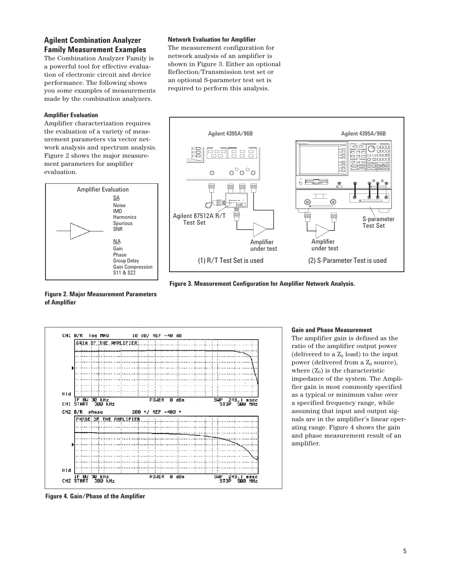# **Agilent Combination Analyzer Family Measurement Examples**

The Combination Analyzer Family is a powerful tool for effective evaluation of electronic circuit and device performance. The following shows you some examples of measurements made by the combination analyzers.

## **Amplifier Evaluation**

Amplifier characterization requires the evaluation of a variety of measurement parameters via vector network analysis and spectrum analysis. Figure 2 shows the major measurement parameters for amplifier evaluation.



## **Network Evaluation for Amplifier**

The measurement configuration for network analysis of an amplifier is shown in Figure 3. Either an optional Reflection/Transmission test set or an optional S-parameter test set is required to perform this analysis.



**Figure 3. Measurement Configuration for Amplifier Network Analysis.**

# **Figure 2. Major Measurement Parameters of Amplifier**



#### **Gain and Phase Measurement**

The amplifier gain is defined as the ratio of the amplifier output power (delivered to a  $Z_0$  load) to the input power (delivered from a  $Z_0$  source), where  $(Z_0)$  is the characteristic impedance of the system. The Amplifier gain is most commonly specified as a typical or minimum value over a specified frequency range, while assuming that input and output signals are in the amplifier's linear operating range. Figure 4 shows the gain and phase measurement result of an amplifier.

**Figure 4. Gain/Phase of the Amplifier**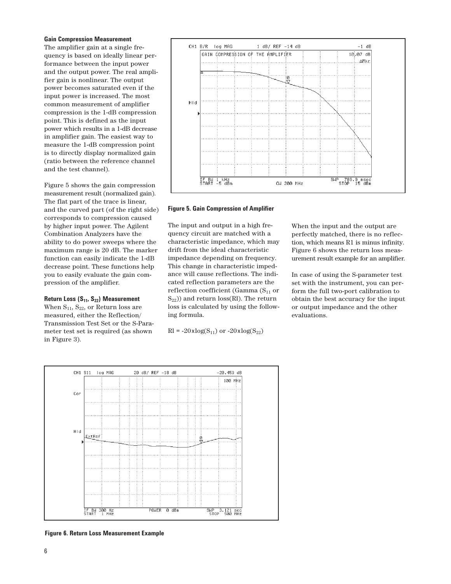#### **Gain Compression Measurement**

The amplifier gain at a single frequency is based on ideally linear performance between the input power and the output power. The real amplifier gain is nonlinear. The output power becomes saturated even if the input power is increased. The most common measurement of amplifier compression is the 1-dB compression point. This is defined as the input power which results in a 1-dB decrease in amplifier gain. The easiest way to measure the 1-dB compression point is to directly display normalized gain (ratio between the reference channel and the test channel).

Figure 5 shows the gain compression measurement result (normalized gain). The flat part of the trace is linear, and the curved part (of the right side) corresponds to compression caused by higher input power. The Agilent Combination Analyzers have the ability to do power sweeps where the maximum range is 20 dB. The marker function can easily indicate the 1-dB decrease point. These functions help you to easily evaluate the gain compression of the amplifier.

#### **Return Loss (S<sub>11</sub>, S<sub>22</sub>) Measurement**

When  $S_{11}$ ,  $S_{22}$ , or Return loss are measured, either the Reflection/ Transmission Test Set or the S-Parameter test set is required (as shown in Figure 3).



#### **Figure 5. Gain Compression of Amplifier**

The input and output in a high frequency circuit are matched with a characteristic impedance, which may drift from the ideal characteristic impedance depending on frequency. This change in characteristic impedance will cause reflections. The indicated reflection parameters are the reflection coefficient (Gamma  $(S_{11}$  or  $S_{22}$ )) and return loss(Rl). The return loss is calculated by using the following formula.

 $Rl = -20xlog(S_{11})$  or  $-20xlog(S_{22})$ 

When the input and the output are perfectly matched, there is no reflection, which means R1 is minus infinity. Figure 6 shows the return loss measurement result example for an amplifier.

In case of using the S-parameter test set with the instrument, you can perform the full two-port calibration to obtain the best accuracy for the input or output impedance and the other evaluations.



**Figure 6. Return Loss Measurement Example**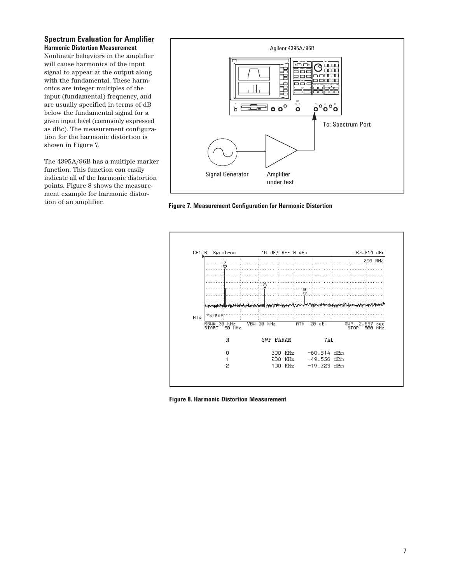**Spectrum Evaluation for Amplifier Harmonic Distortion Measurement**

Nonlinear behaviors in the amplifier will cause harmonics of the input signal to appear at the output along with the fundamental. These harmonics are integer multiples of the input (fundamental) frequency, and are usually specified in terms of dB below the fundamental signal for a given input level (commonly expressed as dBc). The measurement configuration for the harmonic distortion is shown in Figure 7.

The 4395A/96B has a multiple marker function. This function can easily indicate all of the harmonic distortion points. Figure 8 shows the measurement example for harmonic distortion of an amplifier.



**Figure 7. Measurement Configuration for Harmonic Distortion**



**Figure 8. Harmonic Distortion Measurement**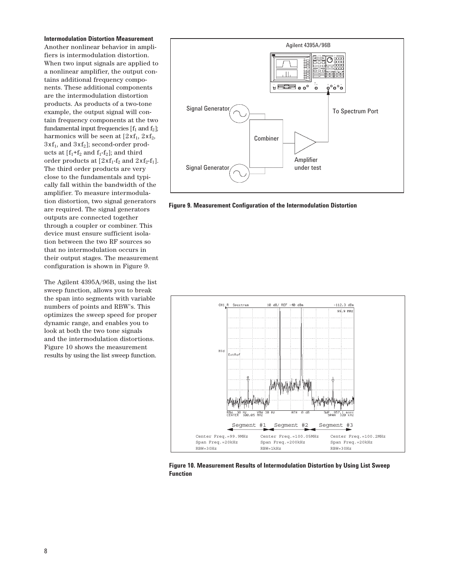**Intermodulation Distortion Measurement** Another nonlinear behavior in amplifiers is intermodulation distortion. When two input signals are applied to a nonlinear amplifier, the output contains additional frequency components. These additional components are the intermodulation distortion products. As products of a two-tone example, the output signal will contain frequency components at the two fundamental input frequencies  $[f_1 \text{ and } f_2]$ ; harmonics will be seen at  $[2xf_1, 2xf_2,$  $3xf_1$ , and  $3xf_2$ ]; second-order products at  $[f_1+f_2 \text{ and } f_1-f_2]$ ; and third order products at  $[2xf_1-f_2$  and  $2xf_2-f_1]$ . The third order products are very close to the fundamentals and typically fall within the bandwidth of the amplifier. To measure intermodulation distortion, two signal generators are required. The signal generators outputs are connected together through a coupler or combiner. This device must ensure sufficient isolation between the two RF sources so that no intermodulation occurs in their output stages. The measurement configuration is shown in Figure 9.

The Agilent 4395A/96B, using the list sweep function, allows you to break the span into segments with variable numbers of points and RBW's. This optimizes the sweep speed for proper dynamic range, and enables you to look at both the two tone signals and the intermodulation distortions. Figure 10 shows the measurement results by using the list sweep function.



**Figure 9. Measurement Configuration of the Intermodulation Distortion**



**Figure 10. Measurement Results of Intermodulation Distortion by Using List Sweep Function**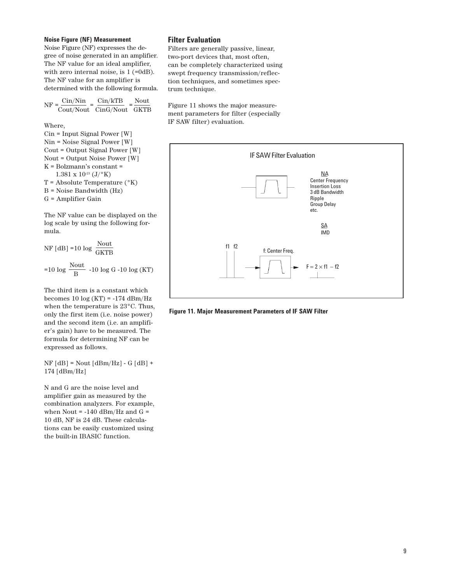## **Noise Figure (NF) Measurement**

Noise Figure (NF) expresses the degree of noise generated in an amplifier. The NF value for an ideal amplifier, with zero internal noise, is 1 (=0dB). The NF value for an amplifier is determined with the following formula.

| $\mathrm{Cin/Nin}$<br>$NF = \frac{OIII/1011}{O}$ | $\mathrm{Cin}/\mathrm{kTB}$ | Nout |
|--------------------------------------------------|-----------------------------|------|
|                                                  | Cout/Nout CinG/Nout GKTB    |      |

Where,

Cin = Input Signal Power [W] Nin = Noise Signal Power [W] Cout = Output Signal Power [W] Nout = Output Noise Power [W] K = Bolzmann's constant =  $1.381 \times 10^{-23}$  (J/ $\rm{^{\circ}K})$ T = Absolute Temperature (°K) B = Noise Bandwidth (Hz) G = Amplifier Gain

The NF value can be displayed on the log scale by using the following formula.

 $NF$ [dB] =10 log  $\frac{Nout}{GKTB}$ =10 log  $\frac{\text{Nout}}{\text{B}}$  -10 log G -10 log (KT)

The third item is a constant which becomes 10 log (KT) = -174 dBm/Hz when the temperature is 23°C. Thus, only the first item (i.e. noise power) and the second item (i.e. an amplifier's gain) have to be measured. The formula for determining NF can be expressed as follows.

 $NF [dB] = Nout [dBm/Hz] - G [dB] +$ 174 [dBm/Hz]

N and G are the noise level and amplifier gain as measured by the combination analyzers. For example, when Nout = -140 dBm/Hz and G  $\!=$ 10 dB, NF is 24 dB. These calculations can be easily customized using the built-in IBASIC function.

## **Filter Evaluation**

Filters are generally passive, linear, two-port devices that, most often, can be completely characterized using swept frequency transmission/reflection techniques, and sometimes spectrum technique.

Figure 11 shows the major measurement parameters for filter (especially IF SAW filter) evaluation.



**Figure 11. Major Measurement Parameters of IF SAW Filter**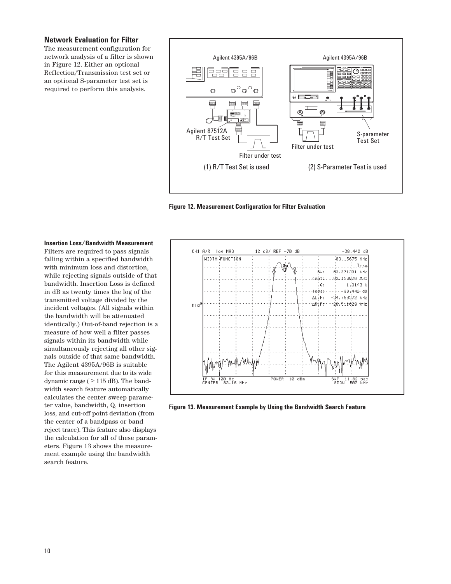## **Network Evaluation for Filter**

The measurement configuration for network analysis of a filter is shown in Figure 12. Either an optional Reflection/Transmission test set or an optional S-parameter test set is required to perform this analysis.



**Figure 12. Measurement Configuration for Filter Evaluation**



**Figure 13. Measurement Example by Using the Bandwidth Search Feature**

#### **Insertion Loss/Bandwidth Measurement**

Filters are required to pass signals falling within a specified bandwidth with minimum loss and distortion, while rejecting signals outside of that bandwidth. Insertion Loss is defined in dB as twenty times the log of the transmitted voltage divided by the incident voltages. (All signals within the bandwidth will be attenuated identically.) Out-of-band rejection is a measure of how well a filter passes signals within its bandwidth while simultaneously rejecting all other signals outside of that same bandwidth. The Agilent 4395A/96B is suitable for this measurement due to its wide dynamic range ( $\geq$  115 dB). The bandwidth search feature automatically calculates the center sweep parameter value, bandwidth, Q, insertion loss, and cut-off point deviation (from the center of a bandpass or band reject trace). This feature also displays the calculation for all of these parameters. Figure 13 shows the measurement example using the bandwidth search feature.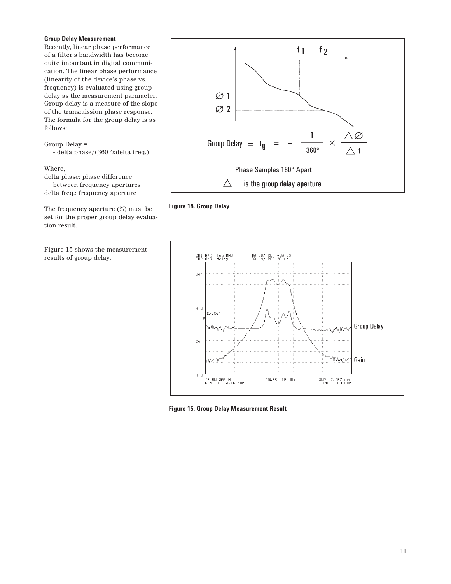## **Group Delay Measurement**

Recently, linear phase performance of a filter's bandwidth has become quite important in digital communication. The linear phase performance (linearity of the device's phase vs. frequency) is evaluated using group delay as the measurement parameter. Group delay is a measure of the slope of the transmission phase response. The formula for the group delay is as follows:

Group Delay = - delta phase/(360°xdelta freq.)

Where,

delta phase: phase difference between frequency apertures delta freq.: frequency aperture

The frequency aperture (%) must be set for the proper group delay evaluation result.

Figure 15 shows the measurement results of group delay.







**Figure 15. Group Delay Measurement Result**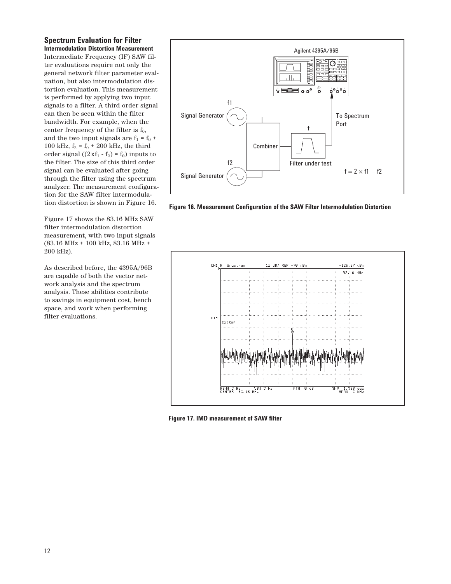**Spectrum Evaluation for Filter Intermodulation Distortion Measurement**

Intermediate Frequency (IF) SAW filter evaluations require not only the general network filter parameter evaluation, but also intermodulation distortion evaluation. This measurement is performed by applying two input signals to a filter. A third order signal can then be seen within the filter bandwidth. For example, when the center frequency of the filter is  $f_0$ , and the two input signals are  $f_1 = f_0 +$ 100 kHz,  $f_2 = f_0 + 200$  kHz, the third order signal  $((2 \times f_1 - f_2) = f_0)$  inputs to the filter. The size of this third order signal can be evaluated after going through the filter using the spectrum analyzer. The measurement configuration for the SAW filter intermodulation distortion is shown in Figure 16.

Figure 17 shows the 83.16 MHz SAW filter intermodulation distortion measurement, with two input signals (83.16 MHz + 100 kHz, 83.16 MHz + 200 kHz).

As described before, the 4395A/96B are capable of both the vector network analysis and the spectrum analysis. These abilities contribute to savings in equipment cost, bench space, and work when performing filter evaluations.



**Figure 16. Measurement Configuration of the SAW Filter Intermodulation Distortion**



**Figure 17. IMD measurement of SAW filter**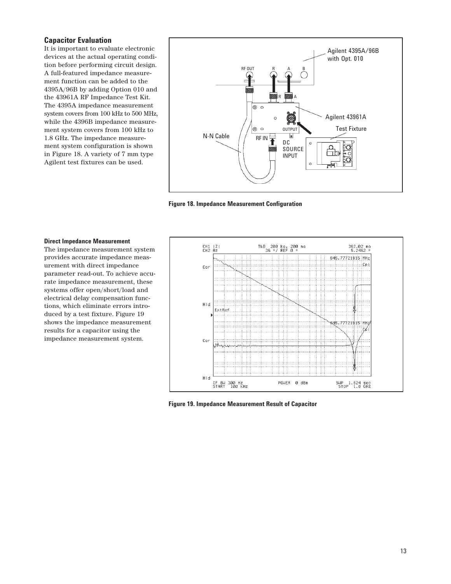# **Capacitor Evaluation**

It is important to evaluate electronic devices at the actual operating condition before performing circuit design. A full-featured impedance measurement function can be added to the 4395A/96B by adding Option 010 and the 43961A RF Impedance Test Kit. The 4395A impedance measurement system covers from 100 kHz to 500 MHz, while the 4396B impedance measurement system covers from 100 kHz to 1.8 GHz. The impedance measurement system configuration is shown in Figure 18. A variety of 7 mm type Agilent test fixtures can be used.



**Figure 18. Impedance Measurement Configuration**

## **Direct Impedance Measurement**

The impedance measurement system provides accurate impedance measurement with direct impedance parameter read-out. To achieve accurate impedance measurement, these systems offer open/short/load and electrical delay compensation functions, which eliminate errors introduced by a test fixture. Figure 19 shows the impedance measurement results for a capacitor using the impedance measurement system.



**Figure 19. Impedance Measurement Result of Capacitor**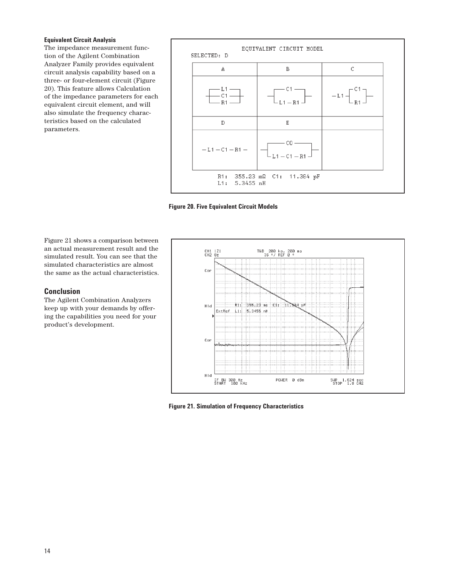#### **Equivalent Circuit Analysis**

The impedance measurement function of the Agilent Combination Analyzer Family provides equivalent circuit analysis capability based on a three- or four-element circuit (Figure 20). This feature allows Calculation of the impedance parameters for each equivalent circuit element, and will also simulate the frequency characteristics based on the calculated parameters.



**Figure 20. Five Equivalent Circuit Models**

Figure 21 shows a comparison between an actual measurement result and the simulated result. You can see that the simulated characteristics are almost the same as the actual characteristics.

# **Conclusion**

The Agilent Combination Analyzers keep up with your demands by offering the capabilities you need for your product's development.



**Figure 21. Simulation of Frequency Characteristics**